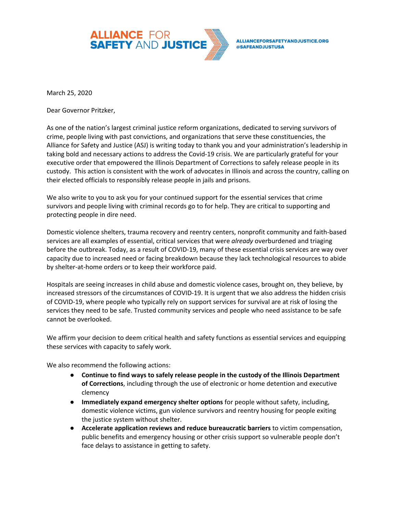

March 25, 2020

Dear Governor Pritzker,

As one of the nation's largest criminal justice reform organizations, dedicated to serving survivors of crime, people living with past convictions, and organizations that serve these constituencies, the Alliance for Safety and Justice (ASJ) is writing today to thank you and your administration's leadership in taking bold and necessary actions to address the Covid-19 crisis. We are particularly grateful for your executive order that empowered the Illinois Department of Corrections to safely release people in its custody. This action is consistent with the work of advocates in Illinois and across the country, calling on their elected officials to responsibly release people in jails and prisons.

We also write to you to ask you for your continued support for the essential services that crime survivors and people living with criminal records go to for help. They are critical to supporting and protecting people in dire need.

Domestic violence shelters, trauma recovery and reentry centers, nonprofit community and faith-based services are all examples of essential, critical services that were *already* overburdened and triaging before the outbreak. Today, as a result of COVID-19, many of these essential crisis services are way over capacity due to increased need or facing breakdown because they lack technological resources to abide by shelter-at-home orders or to keep their workforce paid.

Hospitals are seeing increases in child abuse and domestic violence cases, brought on, they believe, by increased stressors of the circumstances of COVID-19. It is urgent that we also address the hidden crisis of COVID-19, where people who typically rely on support services for survival are at risk of losing the services they need to be safe. Trusted community services and people who need assistance to be safe cannot be overlooked.

We affirm your decision to deem critical health and safety functions as essential services and equipping these services with capacity to safely work.

We also recommend the following actions:

- **Continue to find ways to safely release people in the custody of the Illinois Department of Corrections**, including through the use of electronic or home detention and executive clemency
- **Immediately expand emergency shelter options** for people without safety, including, domestic violence victims, gun violence survivors and reentry housing for people exiting the justice system without shelter.
- **Accelerate application reviews and reduce bureaucratic barriers** to victim compensation, public benefits and emergency housing or other crisis support so vulnerable people don't face delays to assistance in getting to safety.